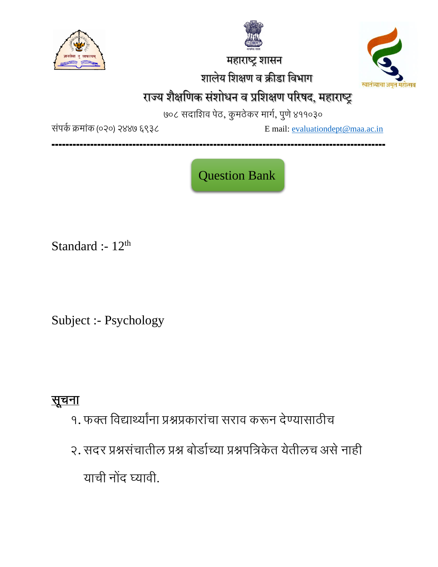

 महाराष्ट्र शासन शालेय शशक्षण व क्रीडा शवभाग



# राज्य शैक्षणिक संशोधन व प्रशिक्षण परिषद, महाराष्ट्र

७०८ सदाशिव पेठ, कुमठेकर मार्ग, पुणे ४११०३०

संपर्क क्रमांक (०२०) २४४७ ६९३८ Email: [evaluationdept@maa.ac.in](mailto:evaluationdept@maa.ac.in)

**-----------------------------------------------------------------------------------------------**

Question Bank

Standard :-  $12<sup>th</sup>$ 

Subject :- Psychology

# सूचना

- १. फक्त शवद्यार्थ्यांना प्रश्नप्रकारांचा सराव करून देण्यासाठीच
- २. सदर प्रश्नसंचातील प्रश्न बोर्डाच्या प्रश्नपत्रिकेत येतीलच असे नाही याची नोंद घ्यावी.

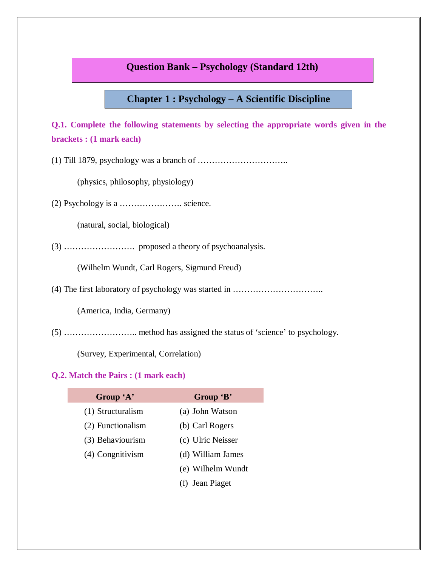# **Question Bank – Psychology (Standard 12th)**

# **Chapter 1 : Psychology – A Scientific Discipline**

**Q.1. Complete the following statements by selecting the appropriate words given in the brackets : (1 mark each)** 

(1) Till 1879, psychology was a branch of …………………………..

(physics, philosophy, physiology)

 $(2)$  Psychology is a  $\ldots$   $\ldots$  science.

(natural, social, biological)

(3) ……………………. proposed a theory of psychoanalysis.

(Wilhelm Wundt, Carl Rogers, Sigmund Freud)

(4) The first laboratory of psychology was started in …………………………..

(America, India, Germany)

(5) …………………….. method has assigned the status of 'science' to psychology.

(Survey, Experimental, Correlation)

| Group 'A'         | Group 'B'         |
|-------------------|-------------------|
| (1) Structuralism | (a) John Watson   |
| (2) Functionalism | (b) Carl Rogers   |
| (3) Behaviourism  | (c) Ulric Neisser |
| (4) Congnitivism  | (d) William James |
|                   | (e) Wilhelm Wundt |
|                   | (f) Jean Piaget   |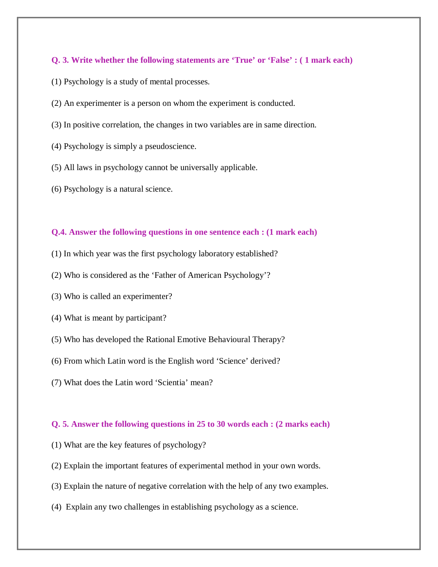- (1) Psychology is a study of mental processes.
- (2) An experimenter is a person on whom the experiment is conducted.
- (3) In positive correlation, the changes in two variables are in same direction.
- (4) Psychology is simply a pseudoscience.
- (5) All laws in psychology cannot be universally applicable.
- (6) Psychology is a natural science.

#### **Q.4. Answer the following questions in one sentence each : (1 mark each)**

- (1) In which year was the first psychology laboratory established?
- (2) Who is considered as the 'Father of American Psychology'?
- (3) Who is called an experimenter?
- (4) What is meant by participant?
- (5) Who has developed the Rational Emotive Behavioural Therapy?
- (6) From which Latin word is the English word 'Science' derived?
- (7) What does the Latin word 'Scientia' mean?

#### **Q. 5. Answer the following questions in 25 to 30 words each : (2 marks each)**

- (1) What are the key features of psychology?
- (2) Explain the important features of experimental method in your own words.
- (3) Explain the nature of negative correlation with the help of any two examples.
- (4) Explain any two challenges in establishing psychology as a science.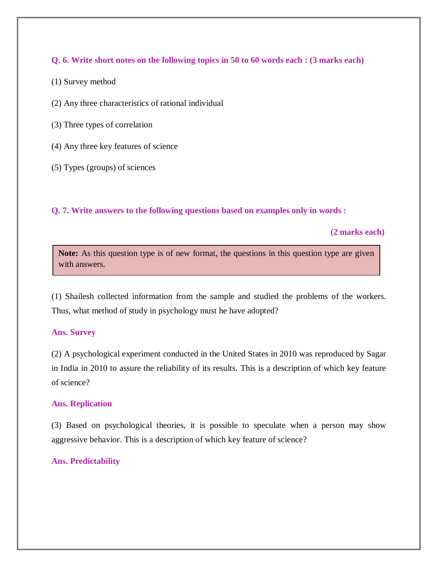# **Q. 6. Write short notes on the following topics in 50 to 60 words each : (3 marks each)**

- (1) Survey method
- (2) Any three characteristics of rational individual
- (3) Three types of correlation
- (4) Any three key features of science
- (5) Types (groups) of sciences

# **Q. 7. Write answers to the following questions based on examples only in words :**

 **(2 marks each)**

Note: As this question type is of new format, the questions in this question type are given with answers.

(1) Shailesh collected information from the sample and studied the problems of the workers. Thus, what method of study in psychology must he have adopted?

### **Ans. Survey**

(2) A psychological experiment conducted in the United States in 2010 was reproduced by Sagar in India in 2010 to assure the reliability of its results. This is a description of which key feature of science?

### **Ans. Replication**

(3) Based on psychological theories, it is possible to speculate when a person may show aggressive behavior. This is a description of which key feature of science?

# **Ans. Predictability**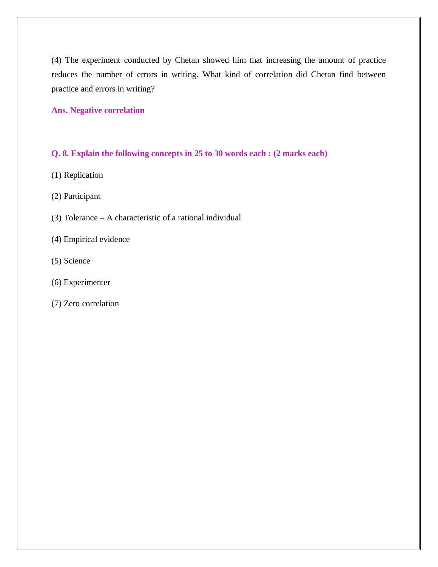(4) The experiment conducted by Chetan showed him that increasing the amount of practice reduces the number of errors in writing. What kind of correlation did Chetan find between practice and errors in writing?

#### **Ans. Negative correlation**

# **Q. 8. Explain the following concepts in 25 to 30 words each : (2 marks each)**

- (1) Replication
- (2) Participant
- (3) Tolerance A characteristic of a rational individual
- (4) Empirical evidence
- (5) Science
- (6) Experimenter
- (7) Zero correlation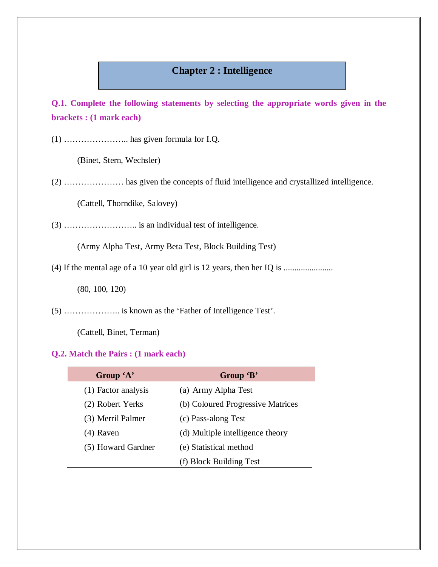# **Chapter 2 : Intelligence**

**Q.1. Complete the following statements by selecting the appropriate words given in the brackets : (1 mark each)** 

(1) ………………….. has given formula for I.Q.

(Binet, Stern, Wechsler)

(2) ………………… has given the concepts of fluid intelligence and crystallized intelligence.

(Cattell, Thorndike, Salovey)

(3) …………………….. is an individual test of intelligence.

(Army Alpha Test, Army Beta Test, Block Building Test)

(4) If the mental age of a 10 year old girl is 12 years, then her IQ is .......................

(80, 100, 120)

(5) ……………….. is known as the 'Father of Intelligence Test'.

(Cattell, Binet, Terman)

| Group 'A'           | Group 'B'                         |
|---------------------|-----------------------------------|
| (1) Factor analysis | (a) Army Alpha Test               |
| (2) Robert Yerks    | (b) Coloured Progressive Matrices |
| (3) Merril Palmer   | (c) Pass-along Test               |
| (4) Raven           | (d) Multiple intelligence theory  |
| (5) Howard Gardner  | (e) Statistical method            |
|                     | (f) Block Building Test           |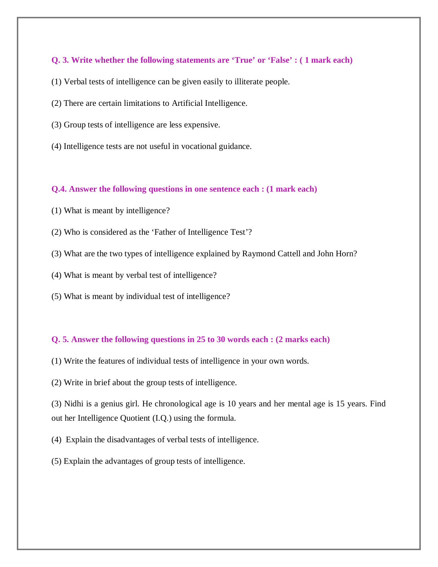- (1) Verbal tests of intelligence can be given easily to illiterate people.
- (2) There are certain limitations to Artificial Intelligence.
- (3) Group tests of intelligence are less expensive.
- (4) Intelligence tests are not useful in vocational guidance.

#### **Q.4. Answer the following questions in one sentence each : (1 mark each)**

- (1) What is meant by intelligence?
- (2) Who is considered as the 'Father of Intelligence Test'?
- (3) What are the two types of intelligence explained by Raymond Cattell and John Horn?
- (4) What is meant by verbal test of intelligence?
- (5) What is meant by individual test of intelligence?

### **Q. 5. Answer the following questions in 25 to 30 words each : (2 marks each)**

- (1) Write the features of individual tests of intelligence in your own words.
- (2) Write in brief about the group tests of intelligence.

(3) Nidhi is a genius girl. He chronological age is 10 years and her mental age is 15 years. Find out her Intelligence Quotient (I.Q.) using the formula.

- (4) Explain the disadvantages of verbal tests of intelligence.
- (5) Explain the advantages of group tests of intelligence.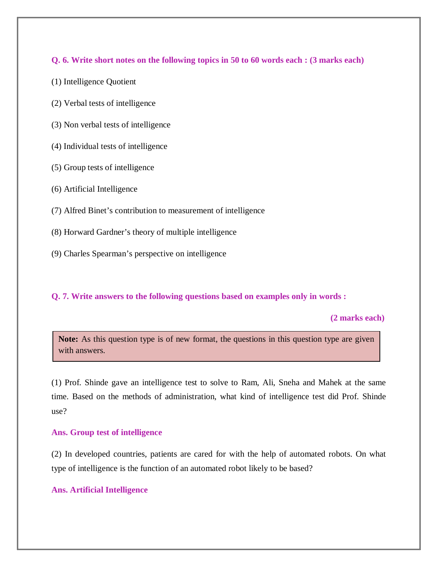**Q. 6. Write short notes on the following topics in 50 to 60 words each : (3 marks each)** 

- (1) Intelligence Quotient
- (2) Verbal tests of intelligence
- (3) Non verbal tests of intelligence
- (4) Individual tests of intelligence
- (5) Group tests of intelligence
- (6) Artificial Intelligence
- (7) Alfred Binet's contribution to measurement of intelligence
- (8) Horward Gardner's theory of multiple intelligence
- (9) Charles Spearman's perspective on intelligence

### **Q. 7. Write answers to the following questions based on examples only in words :**

 **(2 marks each)**

Note: As this question type is of new format, the questions in this question type are given with answers.

(1) Prof. Shinde gave an intelligence test to solve to Ram, Ali, Sneha and Mahek at the same time. Based on the methods of administration, what kind of intelligence test did Prof. Shinde use?

### **Ans. Group test of intelligence**

(2) In developed countries, patients are cared for with the help of automated robots. On what type of intelligence is the function of an automated robot likely to be based?

### **Ans. Artificial Intelligence**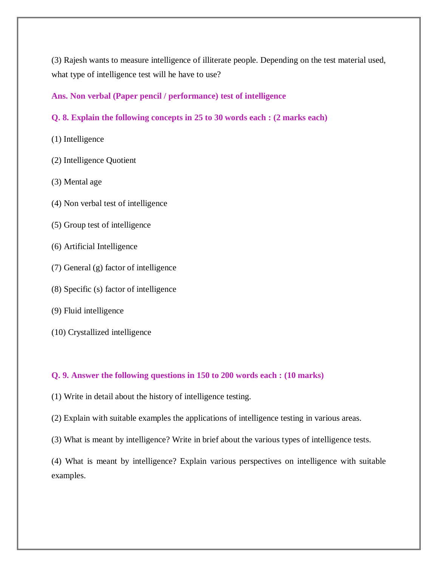(3) Rajesh wants to measure intelligence of illiterate people. Depending on the test material used, what type of intelligence test will he have to use?

### **Ans. Non verbal (Paper pencil / performance) test of intelligence**

- **Q. 8. Explain the following concepts in 25 to 30 words each : (2 marks each)**
- (1) Intelligence
- (2) Intelligence Quotient
- (3) Mental age
- (4) Non verbal test of intelligence
- (5) Group test of intelligence
- (6) Artificial Intelligence
- (7) General (g) factor of intelligence
- (8) Specific (s) factor of intelligence
- (9) Fluid intelligence
- (10) Crystallized intelligence

# **Q. 9. Answer the following questions in 150 to 200 words each : (10 marks)**

- (1) Write in detail about the history of intelligence testing.
- (2) Explain with suitable examples the applications of intelligence testing in various areas.
- (3) What is meant by intelligence? Write in brief about the various types of intelligence tests.

(4) What is meant by intelligence? Explain various perspectives on intelligence with suitable examples.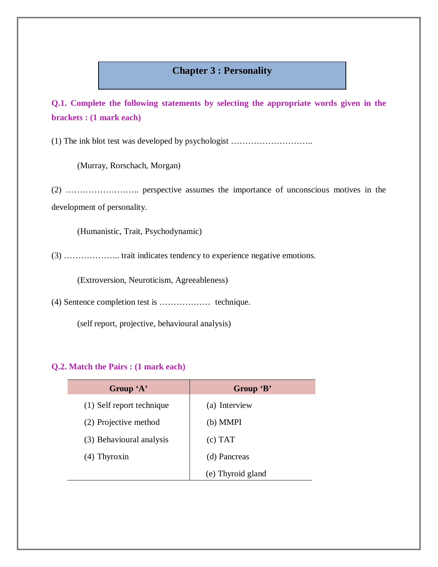# **Chapter 3 : Personality**

**Q.1. Complete the following statements by selecting the appropriate words given in the brackets : (1 mark each)** 

(1) The ink blot test was developed by psychologist ………………………..

(Murray, Rorschach, Morgan)

(2) …………………….. perspective assumes the importance of unconscious motives in the development of personality.

(Humanistic, Trait, Psychodynamic)

(3) ……………….. trait indicates tendency to experience negative emotions.

(Extroversion, Neuroticism, Agreeableness)

(4) Sentence completion test is ……………… technique.

(self report, projective, behavioural analysis)

| Group 'A'                 | Group 'B'         |
|---------------------------|-------------------|
| (1) Self report technique | (a) Interview     |
| (2) Projective method     | (b) MMPI          |
| (3) Behavioural analysis  | (c) TAT           |
| $(4)$ Thyroxin            | (d) Pancreas      |
|                           | (e) Thyroid gland |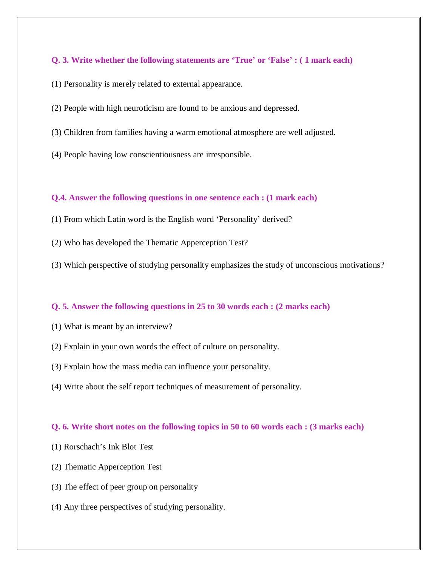- (1) Personality is merely related to external appearance.
- (2) People with high neuroticism are found to be anxious and depressed.
- (3) Children from families having a warm emotional atmosphere are well adjusted.
- (4) People having low conscientiousness are irresponsible.

#### **Q.4. Answer the following questions in one sentence each : (1 mark each)**

- (1) From which Latin word is the English word 'Personality' derived?
- (2) Who has developed the Thematic Apperception Test?
- (3) Which perspective of studying personality emphasizes the study of unconscious motivations?

#### **Q. 5. Answer the following questions in 25 to 30 words each : (2 marks each)**

- (1) What is meant by an interview?
- (2) Explain in your own words the effect of culture on personality.
- (3) Explain how the mass media can influence your personality.
- (4) Write about the self report techniques of measurement of personality.

#### **Q. 6. Write short notes on the following topics in 50 to 60 words each : (3 marks each)**

- (1) Rorschach's Ink Blot Test
- (2) Thematic Apperception Test
- (3) The effect of peer group on personality
- (4) Any three perspectives of studying personality.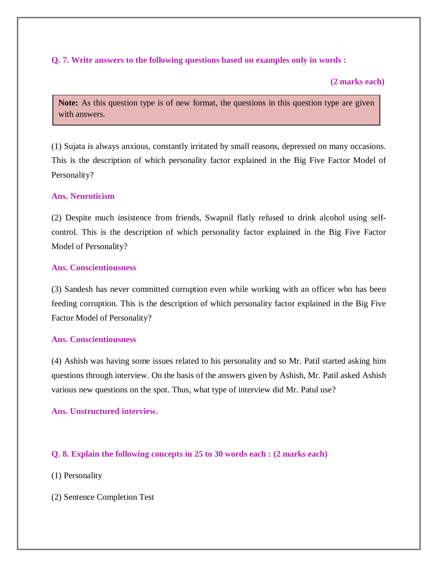# **Q. 7. Write answers to the following questions based on examples only in words :**

### **(2 marks each)**

Note: As this question type is of new format, the questions in this question type are given with answers.

(1) Sujata is always anxious, constantly irritated by small reasons, depressed on many occasions. This is the description of which personality factor explained in the Big Five Factor Model of Personality?

# **Ans. Neuroticism**

(2) Despite much insistence from friends, Swapnil flatly refused to drink alcohol using selfcontrol. This is the description of which personality factor explained in the Big Five Factor Model of Personality?

### **Ans. Conscientiousness**

(3) Sandesh has never committed corruption even while working with an officer who has been feeding corruption. This is the description of which personality factor explained in the Big Five Factor Model of Personality?

### **Ans. Conscientiousness**

(4) Ashish was having some issues related to his personality and so Mr. Patil started asking him questions through interview. On the basis of the answers given by Ashish, Mr. Patil asked Ashish various new questions on the spot. Thus, what type of interview did Mr. Patul use?

### **Ans. Unstructured interview.**

### **Q. 8. Explain the following concepts in 25 to 30 words each : (2 marks each)**

- (1) Personality
- (2) Sentence Completion Test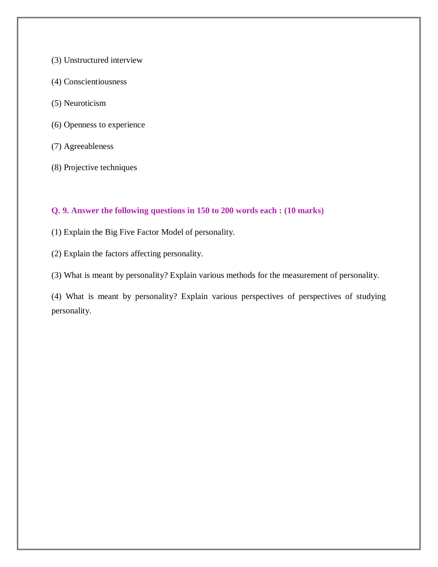- (3) Unstructured interview
- (4) Conscientiousness
- (5) Neuroticism
- (6) Openness to experience
- (7) Agreeableness
- (8) Projective techniques

# **Q. 9. Answer the following questions in 150 to 200 words each : (10 marks)**

- (1) Explain the Big Five Factor Model of personality.
- (2) Explain the factors affecting personality.
- (3) What is meant by personality? Explain various methods for the measurement of personality.

(4) What is meant by personality? Explain various perspectives of perspectives of studying personality.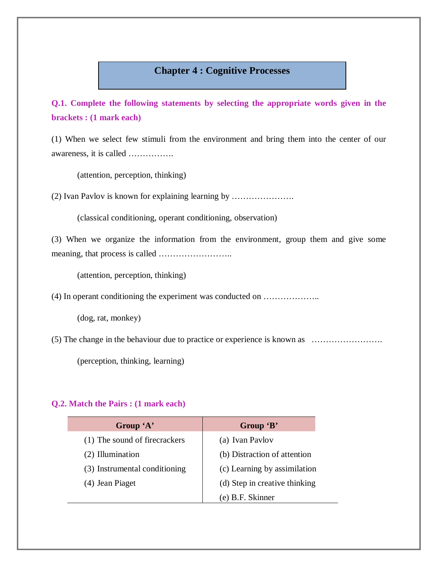# **Chapter 4 : Cognitive Processes**

**Q.1. Complete the following statements by selecting the appropriate words given in the brackets : (1 mark each)** 

(1) When we select few stimuli from the environment and bring them into the center of our awareness, it is called …………….

(attention, perception, thinking)

(2) Ivan Pavlov is known for explaining learning by ………………….

(classical conditioning, operant conditioning, observation)

(3) When we organize the information from the environment, group them and give some meaning, that process is called ……………………..

(attention, perception, thinking)

(4) In operant conditioning the experiment was conducted on ………………..

(dog, rat, monkey)

(5) The change in the behaviour due to practice or experience is known as …………………….

(perception, thinking, learning)

| Group 'A'                     | Group 'B'                     |
|-------------------------------|-------------------------------|
| (1) The sound of firecrackers | (a) Ivan Pavlov               |
| (2) Illumination              | (b) Distraction of attention  |
| (3) Instrumental conditioning | (c) Learning by assimilation  |
| (4) Jean Piaget               | (d) Step in creative thinking |
|                               | (e) B.F. Skinner              |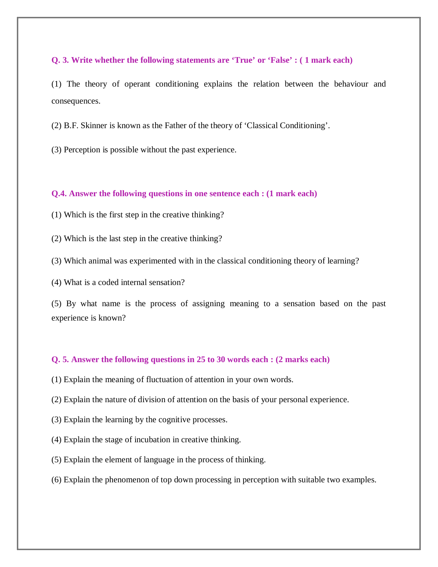(1) The theory of operant conditioning explains the relation between the behaviour and consequences.

(2) B.F. Skinner is known as the Father of the theory of 'Classical Conditioning'.

(3) Perception is possible without the past experience.

#### **Q.4. Answer the following questions in one sentence each : (1 mark each)**

- (1) Which is the first step in the creative thinking?
- (2) Which is the last step in the creative thinking?
- (3) Which animal was experimented with in the classical conditioning theory of learning?
- (4) What is a coded internal sensation?

(5) By what name is the process of assigning meaning to a sensation based on the past experience is known?

#### **Q. 5. Answer the following questions in 25 to 30 words each : (2 marks each)**

- (1) Explain the meaning of fluctuation of attention in your own words.
- (2) Explain the nature of division of attention on the basis of your personal experience.
- (3) Explain the learning by the cognitive processes.
- (4) Explain the stage of incubation in creative thinking.
- (5) Explain the element of language in the process of thinking.
- (6) Explain the phenomenon of top down processing in perception with suitable two examples.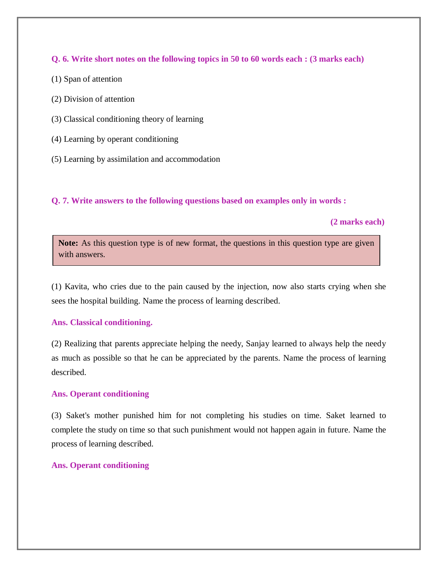**Q. 6. Write short notes on the following topics in 50 to 60 words each : (3 marks each)** 

- (1) Span of attention
- (2) Division of attention
- (3) Classical conditioning theory of learning
- (4) Learning by operant conditioning
- (5) Learning by assimilation and accommodation

# **Q. 7. Write answers to the following questions based on examples only in words :**

 **(2 marks each)**

Note: As this question type is of new format, the questions in this question type are given with answers.

(1) Kavita, who cries due to the pain caused by the injection, now also starts crying when she sees the hospital building. Name the process of learning described.

### **Ans. Classical conditioning.**

(2) Realizing that parents appreciate helping the needy, Sanjay learned to always help the needy as much as possible so that he can be appreciated by the parents. Name the process of learning described.

### **Ans. Operant conditioning**

(3) Saket's mother punished him for not completing his studies on time. Saket learned to complete the study on time so that such punishment would not happen again in future. Name the process of learning described.

### **Ans. Operant conditioning**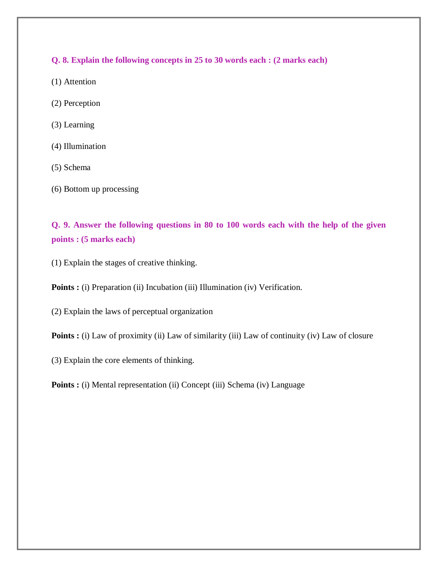**Q. 8. Explain the following concepts in 25 to 30 words each : (2 marks each)** 

- (1) Attention
- (2) Perception
- (3) Learning
- (4) Illumination
- (5) Schema
- (6) Bottom up processing

**Q. 9. Answer the following questions in 80 to 100 words each with the help of the given points : (5 marks each)** 

(1) Explain the stages of creative thinking.

**Points :** (i) Preparation (ii) Incubation (iii) Illumination (iv) Verification.

(2) Explain the laws of perceptual organization

**Points :** (i) Law of proximity (ii) Law of similarity (iii) Law of continuity (iv) Law of closure

(3) Explain the core elements of thinking.

**Points :** (i) Mental representation (ii) Concept (iii) Schema (iv) Language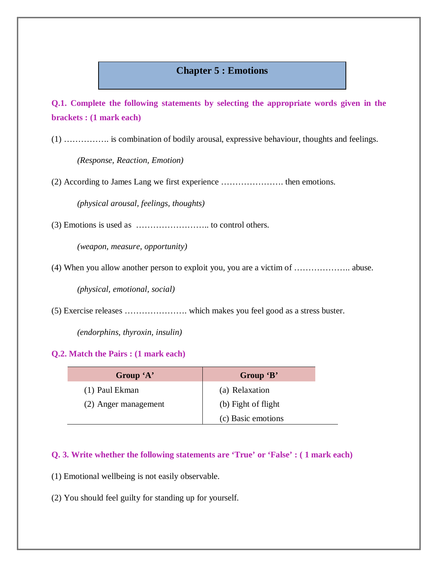# **Chapter 5 : Emotions**

**Q.1. Complete the following statements by selecting the appropriate words given in the brackets : (1 mark each)** 

(1) ……………. is combination of bodily arousal, expressive behaviour, thoughts and feelings.

*(Response, Reaction, Emotion)*

(2) According to James Lang we first experience …………………. then emotions.

*(physical arousal, feelings, thoughts)*

(3) Emotions is used as …………………….. to control others.

*(weapon, measure, opportunity)*

(4) When you allow another person to exploit you, you are a victim of ……………….. abuse.

*(physical, emotional, social)*

(5) Exercise releases …………………. which makes you feel good as a stress buster.

*(endorphins, thyroxin, insulin)*

#### **Q.2. Match the Pairs : (1 mark each)**

| Group 'A'            | Group 'B'           |
|----------------------|---------------------|
| (1) Paul Ekman       | (a) Relaxation      |
| (2) Anger management | (b) Fight of flight |
|                      | (c) Basic emotions  |

# **Q. 3. Write whether the following statements are 'True' or 'False' : ( 1 mark each)**

- (1) Emotional wellbeing is not easily observable.
- (2) You should feel guilty for standing up for yourself.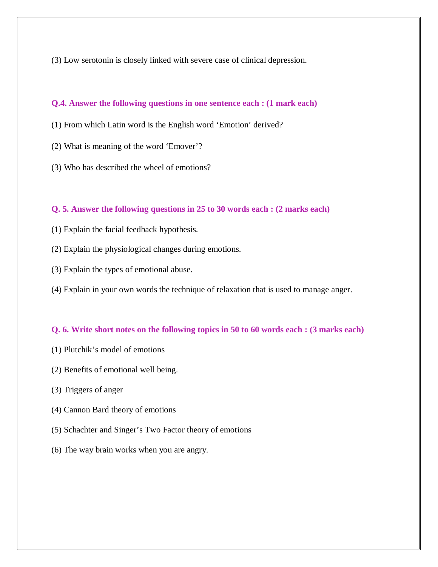(3) Low serotonin is closely linked with severe case of clinical depression.

#### **Q.4. Answer the following questions in one sentence each : (1 mark each)**

- (1) From which Latin word is the English word 'Emotion' derived?
- (2) What is meaning of the word 'Emover'?
- (3) Who has described the wheel of emotions?

#### **Q. 5. Answer the following questions in 25 to 30 words each : (2 marks each)**

- (1) Explain the facial feedback hypothesis.
- (2) Explain the physiological changes during emotions.
- (3) Explain the types of emotional abuse.
- (4) Explain in your own words the technique of relaxation that is used to manage anger.

#### **Q. 6. Write short notes on the following topics in 50 to 60 words each : (3 marks each)**

- (1) Plutchik's model of emotions
- (2) Benefits of emotional well being.
- (3) Triggers of anger
- (4) Cannon Bard theory of emotions
- (5) Schachter and Singer's Two Factor theory of emotions
- (6) The way brain works when you are angry.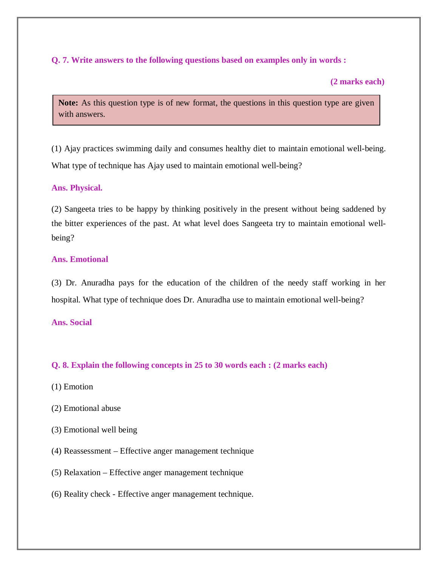# **Q. 7. Write answers to the following questions based on examples only in words :**

#### **(2 marks each)**

Note: As this question type is of new format, the questions in this question type are given with answers.

(1) Ajay practices swimming daily and consumes healthy diet to maintain emotional well-being. What type of technique has Ajay used to maintain emotional well-being?

#### **Ans. Physical.**

(2) Sangeeta tries to be happy by thinking positively in the present without being saddened by the bitter experiences of the past. At what level does Sangeeta try to maintain emotional wellbeing?

#### **Ans. Emotional**

(3) Dr. Anuradha pays for the education of the children of the needy staff working in her hospital. What type of technique does Dr. Anuradha use to maintain emotional well-being?

#### **Ans. Social**

#### **Q. 8. Explain the following concepts in 25 to 30 words each : (2 marks each)**

- (1) Emotion
- (2) Emotional abuse
- (3) Emotional well being
- (4) Reassessment Effective anger management technique
- (5) Relaxation Effective anger management technique
- (6) Reality check Effective anger management technique.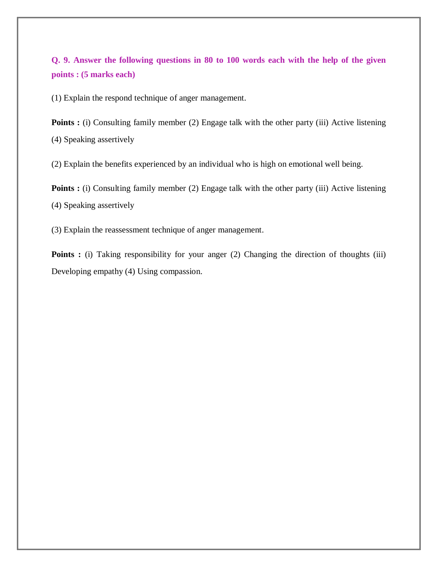# **Q. 9. Answer the following questions in 80 to 100 words each with the help of the given points : (5 marks each)**

(1) Explain the respond technique of anger management.

**Points :** (i) Consulting family member (2) Engage talk with the other party (iii) Active listening (4) Speaking assertively

(2) Explain the benefits experienced by an individual who is high on emotional well being.

**Points :** (i) Consulting family member (2) Engage talk with the other party (iii) Active listening (4) Speaking assertively

(3) Explain the reassessment technique of anger management.

Points : (i) Taking responsibility for your anger (2) Changing the direction of thoughts (iii) Developing empathy (4) Using compassion.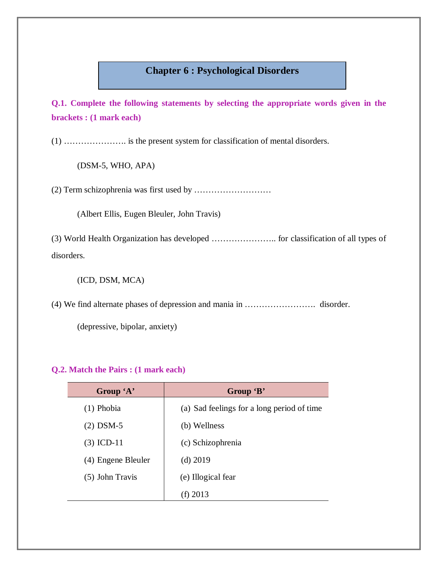# **Chapter 6 : Psychological Disorders**

**Q.1. Complete the following statements by selecting the appropriate words given in the brackets : (1 mark each)** 

(1) …………………. is the present system for classification of mental disorders.

(DSM-5, WHO, APA)

(2) Term schizophrenia was first used by ………………………

(Albert Ellis, Eugen Bleuler, John Travis)

(3) World Health Organization has developed ………………….. for classification of all types of disorders.

(ICD, DSM, MCA)

(4) We find alternate phases of depression and mania in ……………………. disorder.

(depressive, bipolar, anxiety)

| Group 'A'          | Group 'B'                                  |
|--------------------|--------------------------------------------|
| $(1)$ Phobia       | (a) Sad feelings for a long period of time |
| $(2)$ DSM-5        | (b) Wellness                               |
| $(3)$ ICD-11       | (c) Schizophrenia                          |
| (4) Engene Bleuler | $(d)$ 2019                                 |
| $(5)$ John Travis  | (e) Illogical fear                         |
|                    | (f) $2013$                                 |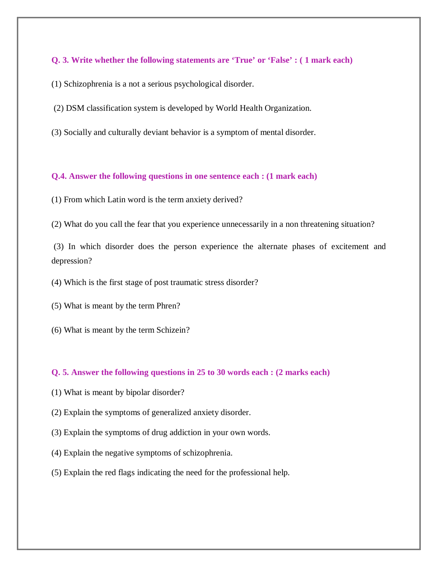- (1) Schizophrenia is a not a serious psychological disorder.
- (2) DSM classification system is developed by World Health Organization.
- (3) Socially and culturally deviant behavior is a symptom of mental disorder.

#### **Q.4. Answer the following questions in one sentence each : (1 mark each)**

- (1) From which Latin word is the term anxiety derived?
- (2) What do you call the fear that you experience unnecessarily in a non threatening situation?

(3) In which disorder does the person experience the alternate phases of excitement and depression?

- (4) Which is the first stage of post traumatic stress disorder?
- (5) What is meant by the term Phren?
- (6) What is meant by the term Schizein?

#### **Q. 5. Answer the following questions in 25 to 30 words each : (2 marks each)**

- (1) What is meant by bipolar disorder?
- (2) Explain the symptoms of generalized anxiety disorder.
- (3) Explain the symptoms of drug addiction in your own words.
- (4) Explain the negative symptoms of schizophrenia.
- (5) Explain the red flags indicating the need for the professional help.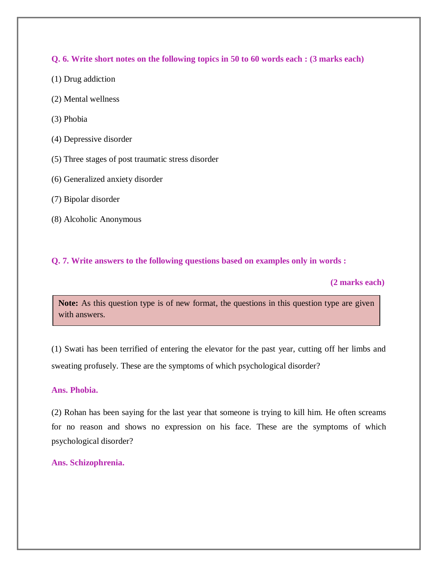**Q. 6. Write short notes on the following topics in 50 to 60 words each : (3 marks each)** 

- (1) Drug addiction
- (2) Mental wellness
- (3) Phobia
- (4) Depressive disorder
- (5) Three stages of post traumatic stress disorder
- (6) Generalized anxiety disorder
- (7) Bipolar disorder
- (8) Alcoholic Anonymous

### **Q. 7. Write answers to the following questions based on examples only in words :**

 **(2 marks each)**

Note: As this question type is of new format, the questions in this question type are given with answers.

(1) Swati has been terrified of entering the elevator for the past year, cutting off her limbs and sweating profusely. These are the symptoms of which psychological disorder?

#### **Ans. Phobia.**

(2) Rohan has been saying for the last year that someone is trying to kill him. He often screams for no reason and shows no expression on his face. These are the symptoms of which psychological disorder?

#### **Ans. Schizophrenia.**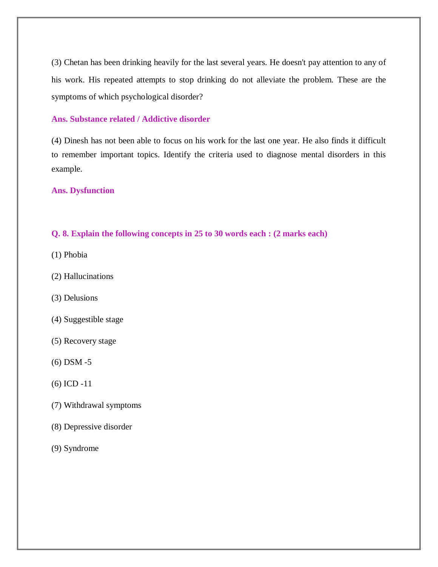(3) Chetan has been drinking heavily for the last several years. He doesn't pay attention to any of his work. His repeated attempts to stop drinking do not alleviate the problem. These are the symptoms of which psychological disorder?

### **Ans. Substance related / Addictive disorder**

(4) Dinesh has not been able to focus on his work for the last one year. He also finds it difficult to remember important topics. Identify the criteria used to diagnose mental disorders in this example.

#### **Ans. Dysfunction**

### **Q. 8. Explain the following concepts in 25 to 30 words each : (2 marks each)**

- (1) Phobia
- (2) Hallucinations
- (3) Delusions
- (4) Suggestible stage
- (5) Recovery stage
- (6) DSM -5
- (6) ICD -11
- (7) Withdrawal symptoms
- (8) Depressive disorder
- (9) Syndrome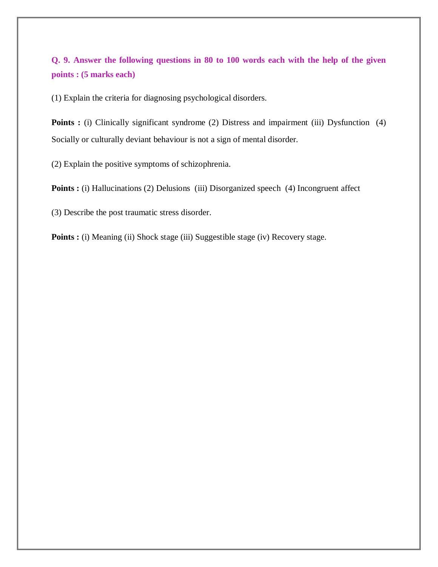# **Q. 9. Answer the following questions in 80 to 100 words each with the help of the given points : (5 marks each)**

(1) Explain the criteria for diagnosing psychological disorders.

**Points :** (i) Clinically significant syndrome (2) Distress and impairment (iii) Dysfunction (4) Socially or culturally deviant behaviour is not a sign of mental disorder.

(2) Explain the positive symptoms of schizophrenia.

**Points :** (i) Hallucinations (2) Delusions (iii) Disorganized speech (4) Incongruent affect

(3) Describe the post traumatic stress disorder.

**Points :** (i) Meaning (ii) Shock stage (iii) Suggestible stage (iv) Recovery stage.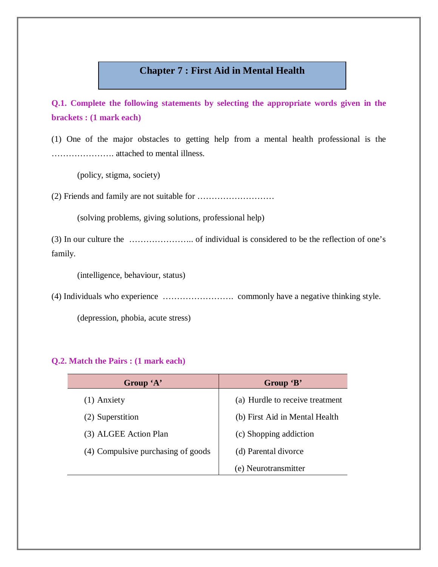# **Chapter 7 : First Aid in Mental Health**

**Q.1. Complete the following statements by selecting the appropriate words given in the brackets : (1 mark each)** 

(1) One of the major obstacles to getting help from a mental health professional is the …………………. attached to mental illness.

(policy, stigma, society)

(2) Friends and family are not suitable for ………………………

(solving problems, giving solutions, professional help)

(3) In our culture the ………………….. of individual is considered to be the reflection of one's family.

(intelligence, behaviour, status)

(4) Individuals who experience ……………………. commonly have a negative thinking style.

(depression, phobia, acute stress)

| Group 'A'                          | Group 'B'                       |
|------------------------------------|---------------------------------|
| $(1)$ Anxiety                      | (a) Hurdle to receive treatment |
| (2) Superstition                   | (b) First Aid in Mental Health  |
| (3) ALGEE Action Plan              | (c) Shopping addiction          |
| (4) Compulsive purchasing of goods | (d) Parental divorce            |
|                                    | (e) Neurotransmitter            |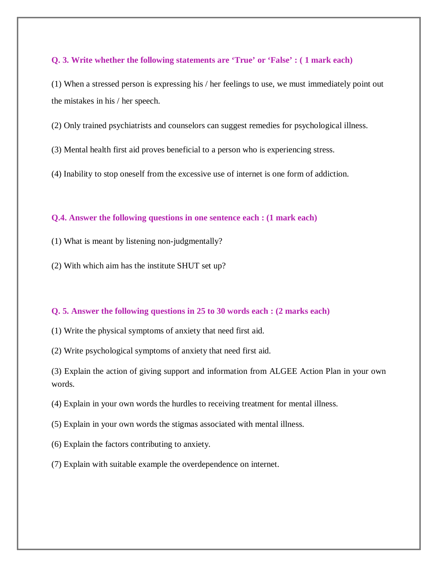(1) When a stressed person is expressing his / her feelings to use, we must immediately point out the mistakes in his / her speech.

(2) Only trained psychiatrists and counselors can suggest remedies for psychological illness.

(3) Mental health first aid proves beneficial to a person who is experiencing stress.

(4) Inability to stop oneself from the excessive use of internet is one form of addiction.

#### **Q.4. Answer the following questions in one sentence each : (1 mark each)**

(1) What is meant by listening non-judgmentally?

(2) With which aim has the institute SHUT set up?

#### **Q. 5. Answer the following questions in 25 to 30 words each : (2 marks each)**

(1) Write the physical symptoms of anxiety that need first aid.

(2) Write psychological symptoms of anxiety that need first aid.

(3) Explain the action of giving support and information from ALGEE Action Plan in your own words.

- (4) Explain in your own words the hurdles to receiving treatment for mental illness.
- (5) Explain in your own words the stigmas associated with mental illness.
- (6) Explain the factors contributing to anxiety.
- (7) Explain with suitable example the overdependence on internet.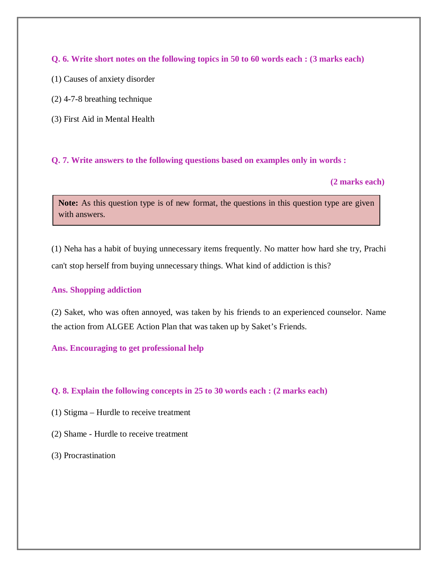**Q. 6. Write short notes on the following topics in 50 to 60 words each : (3 marks each)** 

- (1) Causes of anxiety disorder
- (2) 4-7-8 breathing technique
- (3) First Aid in Mental Health

**Q. 7. Write answers to the following questions based on examples only in words :** 

#### **(2 marks each)**

Note: As this question type is of new format, the questions in this question type are given with answers.

(1) Neha has a habit of buying unnecessary items frequently. No matter how hard she try, Prachi can't stop herself from buying unnecessary things. What kind of addiction is this?

### **Ans. Shopping addiction**

(2) Saket, who was often annoyed, was taken by his friends to an experienced counselor. Name the action from ALGEE Action Plan that was taken up by Saket's Friends.

### **Ans. Encouraging to get professional help**

### **Q. 8. Explain the following concepts in 25 to 30 words each : (2 marks each)**

- (1) Stigma Hurdle to receive treatment
- (2) Shame Hurdle to receive treatment
- (3) Procrastination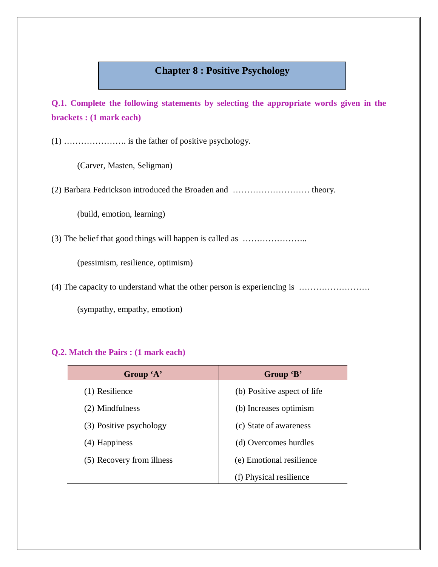# **Chapter 8 : Positive Psychology**

**Q.1. Complete the following statements by selecting the appropriate words given in the brackets : (1 mark each)** 

(1) …………………. is the father of positive psychology.

(Carver, Masten, Seligman)

(2) Barbara Fedrickson introduced the Broaden and ……………………… theory.

(build, emotion, learning)

(3) The belief that good things will happen is called as …………………..

(pessimism, resilience, optimism)

(4) The capacity to understand what the other person is experiencing is …………………….

(sympathy, empathy, emotion)

| Group 'A'                 | Group 'B'                   |
|---------------------------|-----------------------------|
| (1) Resilience            | (b) Positive aspect of life |
| (2) Mindfulness           | (b) Increases optimism      |
| (3) Positive psychology   | (c) State of awareness      |
| (4) Happiness             | (d) Overcomes hurdles       |
| (5) Recovery from illness | (e) Emotional resilience    |
|                           | (f) Physical resilience     |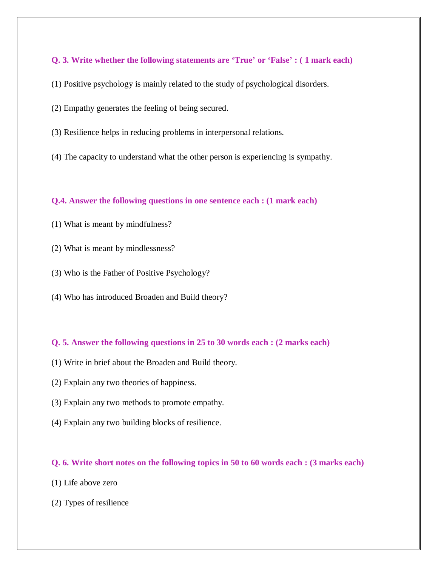- (1) Positive psychology is mainly related to the study of psychological disorders.
- (2) Empathy generates the feeling of being secured.
- (3) Resilience helps in reducing problems in interpersonal relations.
- (4) The capacity to understand what the other person is experiencing is sympathy.

### **Q.4. Answer the following questions in one sentence each : (1 mark each)**

- (1) What is meant by mindfulness?
- (2) What is meant by mindlessness?
- (3) Who is the Father of Positive Psychology?
- (4) Who has introduced Broaden and Build theory?

### **Q. 5. Answer the following questions in 25 to 30 words each : (2 marks each)**

- (1) Write in brief about the Broaden and Build theory.
- (2) Explain any two theories of happiness.
- (3) Explain any two methods to promote empathy.
- (4) Explain any two building blocks of resilience.

#### **Q. 6. Write short notes on the following topics in 50 to 60 words each : (3 marks each)**

- (1) Life above zero
- (2) Types of resilience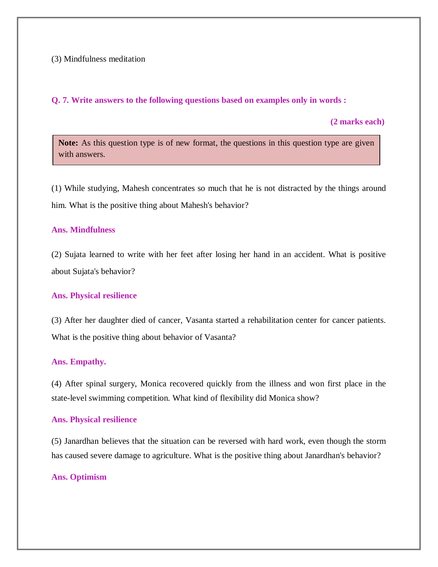### (3) Mindfulness meditation

#### **Q. 7. Write answers to the following questions based on examples only in words :**

 **(2 marks each)**

Note: As this question type is of new format, the questions in this question type are given with answers.

(1) While studying, Mahesh concentrates so much that he is not distracted by the things around him. What is the positive thing about Mahesh's behavior?

#### **Ans. Mindfulness**

(2) Sujata learned to write with her feet after losing her hand in an accident. What is positive about Sujata's behavior?

#### **Ans. Physical resilience**

(3) After her daughter died of cancer, Vasanta started a rehabilitation center for cancer patients. What is the positive thing about behavior of Vasanta?

#### **Ans. Empathy.**

(4) After spinal surgery, Monica recovered quickly from the illness and won first place in the state-level swimming competition. What kind of flexibility did Monica show?

#### **Ans. Physical resilience**

(5) Janardhan believes that the situation can be reversed with hard work, even though the storm has caused severe damage to agriculture. What is the positive thing about Janardhan's behavior?

#### **Ans. Optimism**